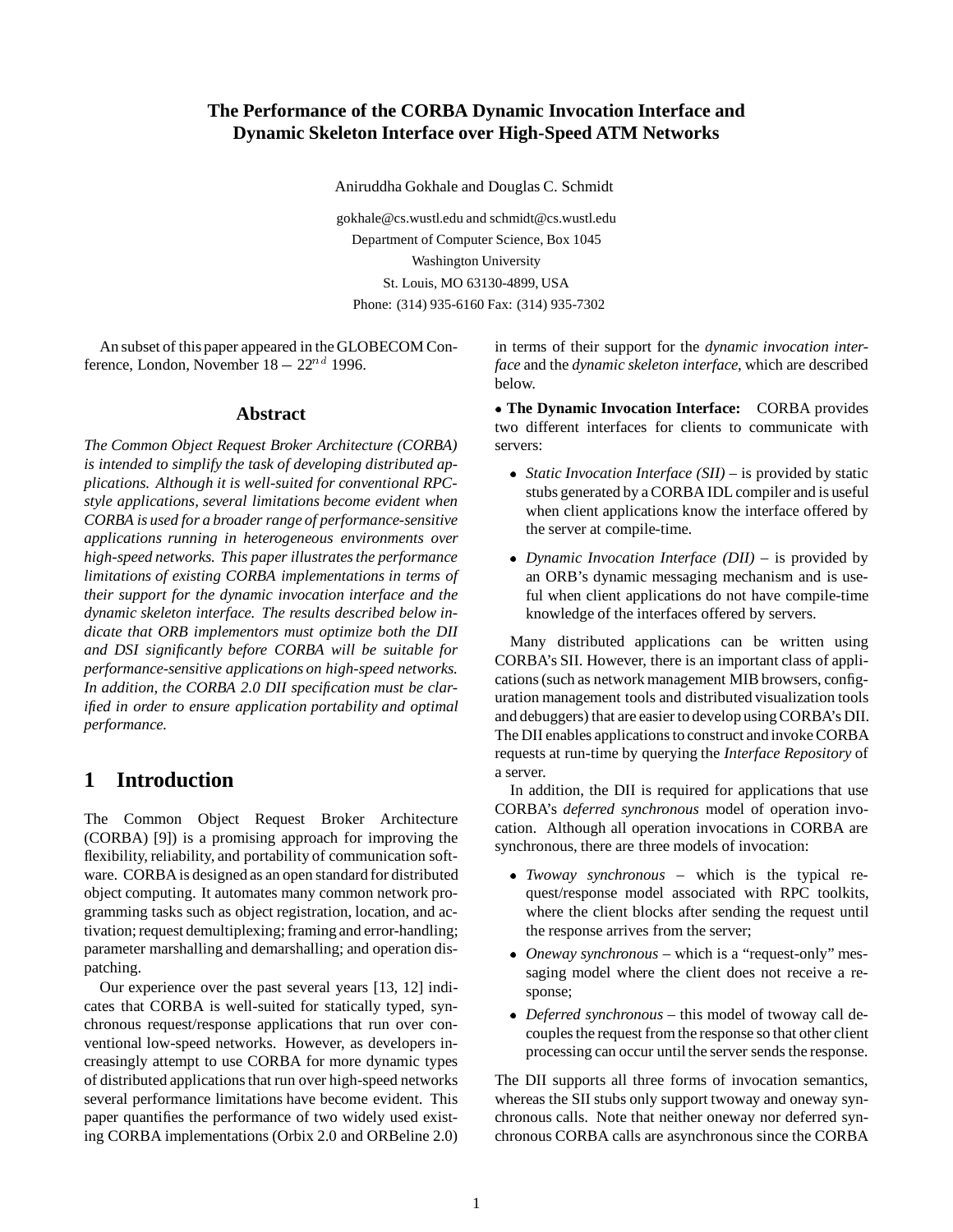### **The Performance of the CORBA Dynamic Invocation Interface and Dynamic Skeleton Interface over High-Speed ATM Networks**

Aniruddha Gokhale and Douglas C. Schmidt

gokhale@cs.wustl.edu and schmidt@cs.wustl.edu Department of Computer Science, Box 1045 Washington University St. Louis, MO 63130-4899, USA Phone: (314) 935-6160 Fax: (314) 935-7302

An subset of this paper appeared in the GLOBECOM Conference, London, November  $18 - 22^{nd}$  1996.

#### **Abstract**

*The Common Object Request Broker Architecture (CORBA) is intended to simplify the task of developing distributed applications. Although it is well-suited for conventional RPCstyle applications, several limitations become evident when CORBA is used for a broader range of performance-sensitive applications running in heterogeneous environments over high-speed networks. This paper illustrates the performance limitations of existing CORBA implementations in terms of their support for the dynamic invocation interface and the dynamic skeleton interface. The results described below indicate that ORB implementors must optimize both the DII and DSI significantly before CORBA will be suitable for performance-sensitive applications on high-speed networks. In addition, the CORBA 2.0 DII specification must be clarified in order to ensure application portability and optimal performance.*

### **1 Introduction**

The Common Object Request Broker Architecture (CORBA) [9]) is a promising approach for improving the flexibility, reliability, and portability of communication software. CORBA is designed as an open standard for distributed object computing. It automates many common network programming tasks such as object registration, location, and activation; request demultiplexing; framing and error-handling; parameter marshalling and demarshalling; and operation dispatching.

Our experience over the past several years [13, 12] indicates that CORBA is well-suited for statically typed, synchronous request/response applications that run over conventional low-speed networks. However, as developers increasingly attempt to use CORBA for more dynamic types of distributed applications that run over high-speed networks several performance limitations have become evident. This paper quantifies the performance of two widely used existing CORBA implementations (Orbix 2.0 and ORBeline 2.0)

in terms of their support for the *dynamic invocation interface* and the *dynamic skeleton interface*, which are described below.

 **The Dynamic Invocation Interface:** CORBA provides two different interfaces for clients to communicate with servers:

- *Static Invocation Interface (SII)* is provided by static stubs generated by a CORBA IDL compiler and is useful when client applications know the interface offered by the server at compile-time.
- *Dynamic Invocation Interface (DII)* is provided by an ORB's dynamic messaging mechanism and is useful when client applications do not have compile-time knowledge of the interfaces offered by servers.

Many distributed applications can be written using CORBA's SII. However, there is an important class of applications (such as network management MIB browsers, configuration management tools and distributed visualization tools and debuggers) that are easier to develop using CORBA's DII. The DII enables applications to construct and invoke CORBA requests at run-time by querying the *Interface Repository* of a server.

In addition, the DII is required for applications that use CORBA's *deferred synchronous* model of operation invocation. Although all operation invocations in CORBA are synchronous, there are three models of invocation:

- *Twoway synchronous* which is the typical request/response model associated with RPC toolkits, where the client blocks after sending the request until the response arrives from the server;
- *Oneway synchronous* which is a "request-only" messaging model where the client does not receive a response;
- *Deferred synchronous* this model of twoway call decouples the request from the response so that other client processing can occur until the server sends the response.

The DII supports all three forms of invocation semantics, whereas the SII stubs only support twoway and oneway synchronous calls. Note that neither oneway nor deferred synchronous CORBA calls are asynchronous since the CORBA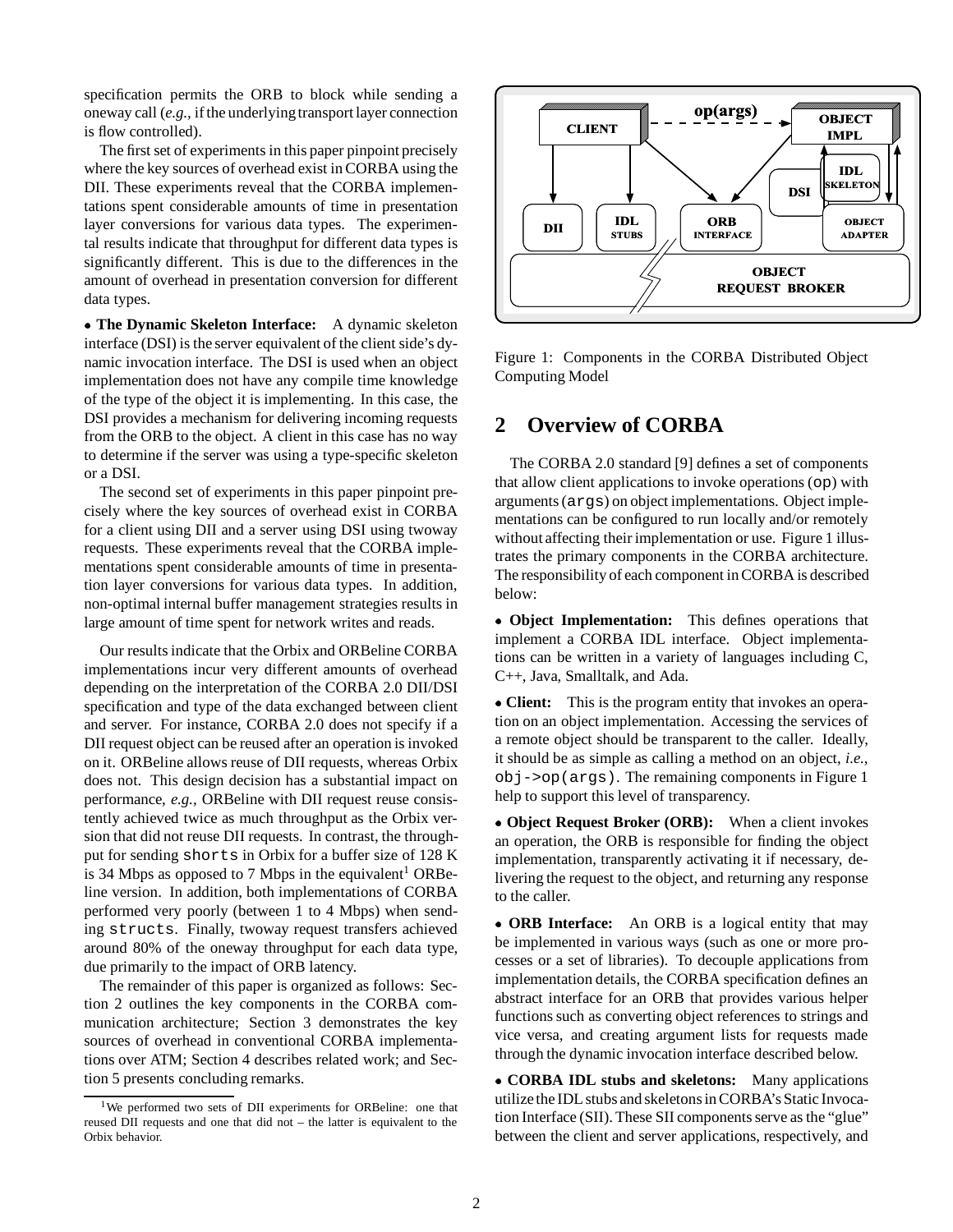specification permits the ORB to block while sending a oneway call (e.g., if the underlying transport layer connection is flow controlled).

The first set of experiments in this paper pinpoint precisely where the key sources of overhead exist in CORBA using the DII. These experiments reveal that the CORBA implementations spent considerable amounts of time in presentation layer conversions for various data types. The experimental results indicate that throughput for different data types is significantly different. This is due to the differences in the amount of overhead in presentation conversion for different data types.

 **The Dynamic Skeleton Interface:** A dynamic skeleton interface (DSI) is the server equivalent of the client side's dynamic invocation interface. The DSI is used when an object implementation does not have any compile time knowledge of the type of the object it is implementing. In this case, the DSI provides a mechanism for delivering incoming requests from the ORB to the object. A client in this case has no way to determine if the server was using a type-specific skeleton or a DSI.

The second set of experiments in this paper pinpoint precisely where the key sources of overhead exist in CORBA for a client using DII and a server using DSI using twoway requests. These experiments reveal that the CORBA implementations spent considerable amounts of time in presentation layer conversions for various data types. In addition, non-optimal internal buffer management strategies results in large amount of time spent for network writes and reads.

Our results indicate that the Orbix and ORBeline CORBA implementations incur very different amounts of overhead depending on the interpretation of the CORBA 2.0 DII/DSI specification and type of the data exchanged between client and server. For instance, CORBA 2.0 does not specify if a DII request object can be reused after an operation is invoked on it. ORBeline allows reuse of DII requests, whereas Orbix does not. This design decision has a substantial impact on performance, *e.g.,* ORBeline with DII request reuse consistently achieved twice as much throughput as the Orbix version that did not reuse DII requests. In contrast, the throughput for sending shorts in Orbix for a buffer size of 128 K is 34 Mbps as opposed to 7 Mbps in the equivalent<sup>1</sup> ORBeline version. In addition, both implementations of CORBA performed very poorly (between 1 to 4 Mbps) when sending structs. Finally, twoway request transfers achieved around 80% of the oneway throughput for each data type, due primarily to the impact of ORB latency.

The remainder of this paper is organized as follows: Section 2 outlines the key components in the CORBA communication architecture; Section 3 demonstrates the key sources of overhead in conventional CORBA implementations over ATM; Section 4 describes related work; and Section 5 presents concluding remarks.



Figure 1: Components in the CORBA Distributed Object Computing Model

### **2 Overview of CORBA**

The CORBA 2.0 standard [9] defines a set of components that allow client applications to invoke operations (op) with arguments (args) on object implementations. Object implementations can be configured to run locally and/or remotely without affecting their implementation or use. Figure 1 illustrates the primary components in the CORBA architecture. The responsibility of each component in CORBA is described below:

 **Object Implementation:** This defines operations that implement a CORBA IDL interface. Object implementations can be written in a variety of languages including C, C++, Java, Smalltalk, and Ada.

 **Client:** This is the program entity that invokes an operation on an object implementation. Accessing the services of a remote object should be transparent to the caller. Ideally, it should be as simple as calling a method on an object, *i.e.,* obj->op(args). The remaining components in Figure 1 help to support this level of transparency.

 **Object Request Broker (ORB):** When a client invokes an operation, the ORB is responsible for finding the object implementation, transparently activating it if necessary, delivering the request to the object, and returning any response to the caller.

 **ORB Interface:** An ORB is a logical entity that may be implemented in various ways (such as one or more processes or a set of libraries). To decouple applications from implementation details, the CORBA specification defines an abstract interface for an ORB that provides various helper functions such as converting object references to strings and vice versa, and creating argument lists for requests made through the dynamic invocation interface described below.

 **CORBA IDL stubs and skeletons:** Many applications utilize the IDL stubs and skeletons in CORBA's Static Invocation Interface (SII). These SII components serve as the "glue" between the client and server applications, respectively, and

<sup>&</sup>lt;sup>1</sup>We performed two sets of DII experiments for ORBeline: one that reused DII requests and one that did not – the latter is equivalent to the Orbix behavior.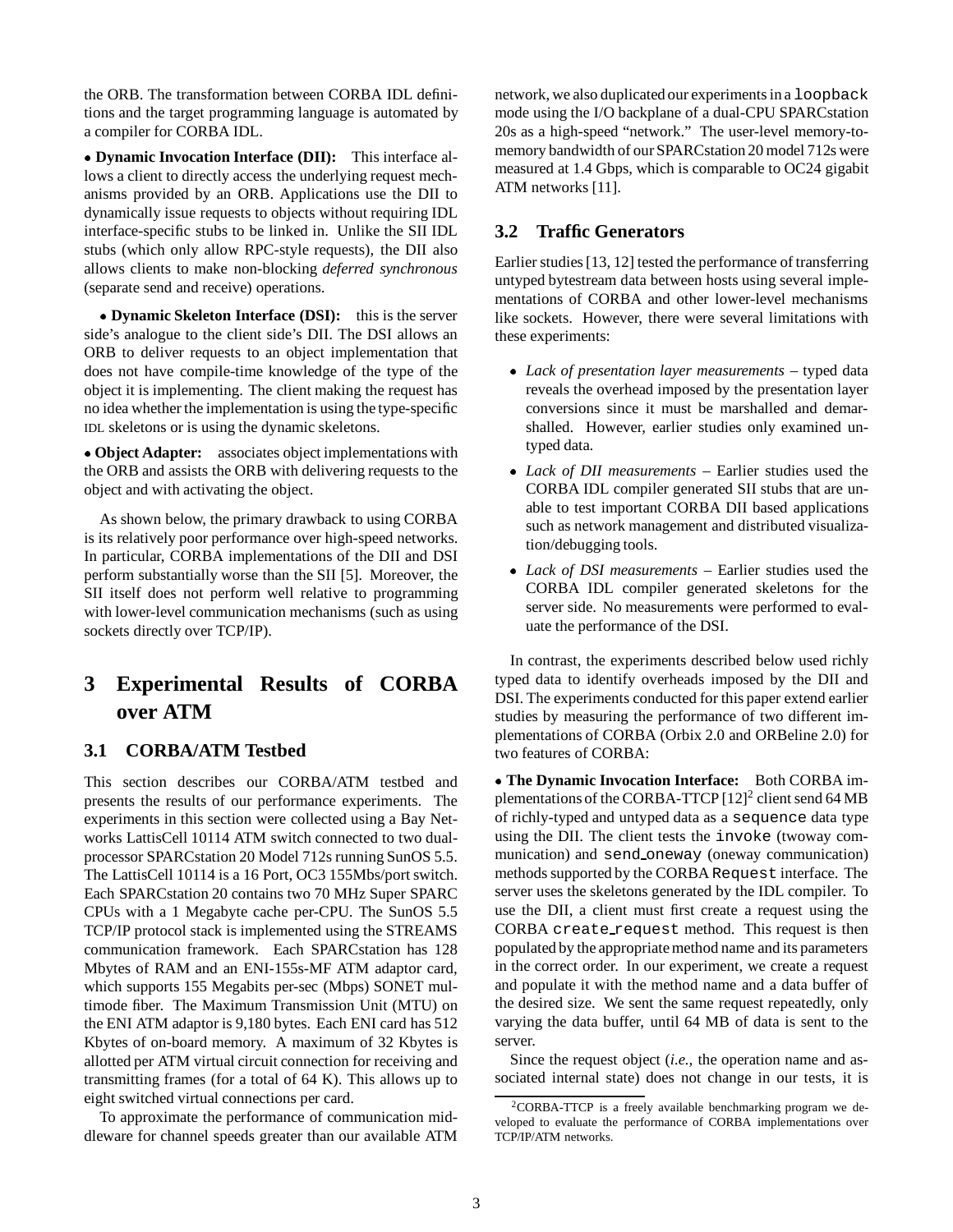the ORB. The transformation between CORBA IDL definitions and the target programming language is automated by a compiler for CORBA IDL.

 **Dynamic Invocation Interface (DII):** This interface allows a client to directly access the underlying request mechanisms provided by an ORB. Applications use the DII to dynamically issue requests to objects without requiring IDL interface-specific stubs to be linked in. Unlike the SII IDL stubs (which only allow RPC-style requests), the DII also allows clients to make non-blocking *deferred synchronous* (separate send and receive) operations.

 **Dynamic Skeleton Interface (DSI):** this is the server side's analogue to the client side's DII. The DSI allows an ORB to deliver requests to an object implementation that does not have compile-time knowledge of the type of the object it is implementing. The client making the request has no idea whether the implementation is using the type-specific IDL skeletons or is using the dynamic skeletons.

 **Object Adapter:** associates object implementations with the ORB and assists the ORB with delivering requests to the object and with activating the object.

As shown below, the primary drawback to using CORBA is its relatively poor performance over high-speed networks. In particular, CORBA implementations of the DII and DSI perform substantially worse than the SII [5]. Moreover, the SII itself does not perform well relative to programming with lower-level communication mechanisms (such as using sockets directly over TCP/IP).

# **3 Experimental Results of CORBA over ATM**

### **3.1 CORBA/ATM Testbed**

This section describes our CORBA/ATM testbed and presents the results of our performance experiments. The experiments in this section were collected using a Bay Networks LattisCell 10114 ATM switch connected to two dualprocessor SPARCstation 20 Model 712s running SunOS 5.5. The LattisCell 10114 is a 16 Port, OC3 155Mbs/port switch. Each SPARCstation 20 contains two 70 MHz Super SPARC CPUs with a 1 Megabyte cache per-CPU. The SunOS 5.5 TCP/IP protocol stack is implemented using the STREAMS communication framework. Each SPARCstation has 128 Mbytes of RAM and an ENI-155s-MF ATM adaptor card, which supports 155 Megabits per-sec (Mbps) SONET multimode fiber. The Maximum Transmission Unit (MTU) on the ENI ATM adaptor is 9,180 bytes. Each ENI card has 512 Kbytes of on-board memory. A maximum of 32 Kbytes is allotted per ATM virtual circuit connection for receiving and transmitting frames (for a total of 64 K). This allows up to eight switched virtual connections per card.

To approximate the performance of communication middleware for channel speeds greater than our available ATM network, we also duplicated our experiments in a loopback mode using the I/O backplane of a dual-CPU SPARCstation 20s as a high-speed "network." The user-level memory-tomemory bandwidth of our SPARCstation 20 model 712s were measured at 1.4 Gbps, which is comparable to OC24 gigabit ATM networks [11].

### **3.2 Traffic Generators**

Earlier studies [13, 12] tested the performance of transferring untyped bytestream data between hosts using several implementations of CORBA and other lower-level mechanisms like sockets. However, there were several limitations with these experiments:

- *Lack of presentation layer measurements* typed data reveals the overhead imposed by the presentation layer conversions since it must be marshalled and demarshalled. However, earlier studies only examined untyped data.
- *Lack of DII measurements* Earlier studies used the CORBA IDL compiler generated SII stubs that are unable to test important CORBA DII based applications such as network management and distributed visualization/debugging tools.
- *Lack of DSI measurements* Earlier studies used the CORBA IDL compiler generated skeletons for the server side. No measurements were performed to evaluate the performance of the DSI.

In contrast, the experiments described below used richly typed data to identify overheads imposed by the DII and DSI. The experiments conducted for this paper extend earlier studies by measuring the performance of two different implementations of CORBA (Orbix 2.0 and ORBeline 2.0) for two features of CORBA:

 **The Dynamic Invocation Interface:** Both CORBA implementations of the CORBA-TTCP  $[12]^2$  client send 64 MB of richly-typed and untyped data as a sequence data type using the DII. The client tests the invoke (twoway communication) and send oneway (oneway communication) methods supported by the CORBA Request interface. The server uses the skeletons generated by the IDL compiler. To use the DII, a client must first create a request using the CORBA create request method. This request is then populated by the appropriate method name and its parameters in the correct order. In our experiment, we create a request and populate it with the method name and a data buffer of the desired size. We sent the same request repeatedly, only varying the data buffer, until 64 MB of data is sent to the server.

Since the request object (*i.e.,* the operation name and associated internal state) does not change in our tests, it is

<sup>2</sup>CORBA-TTCP is a freely available benchmarking program we developed to evaluate the performance of CORBA implementations over TCP/IP/ATM networks.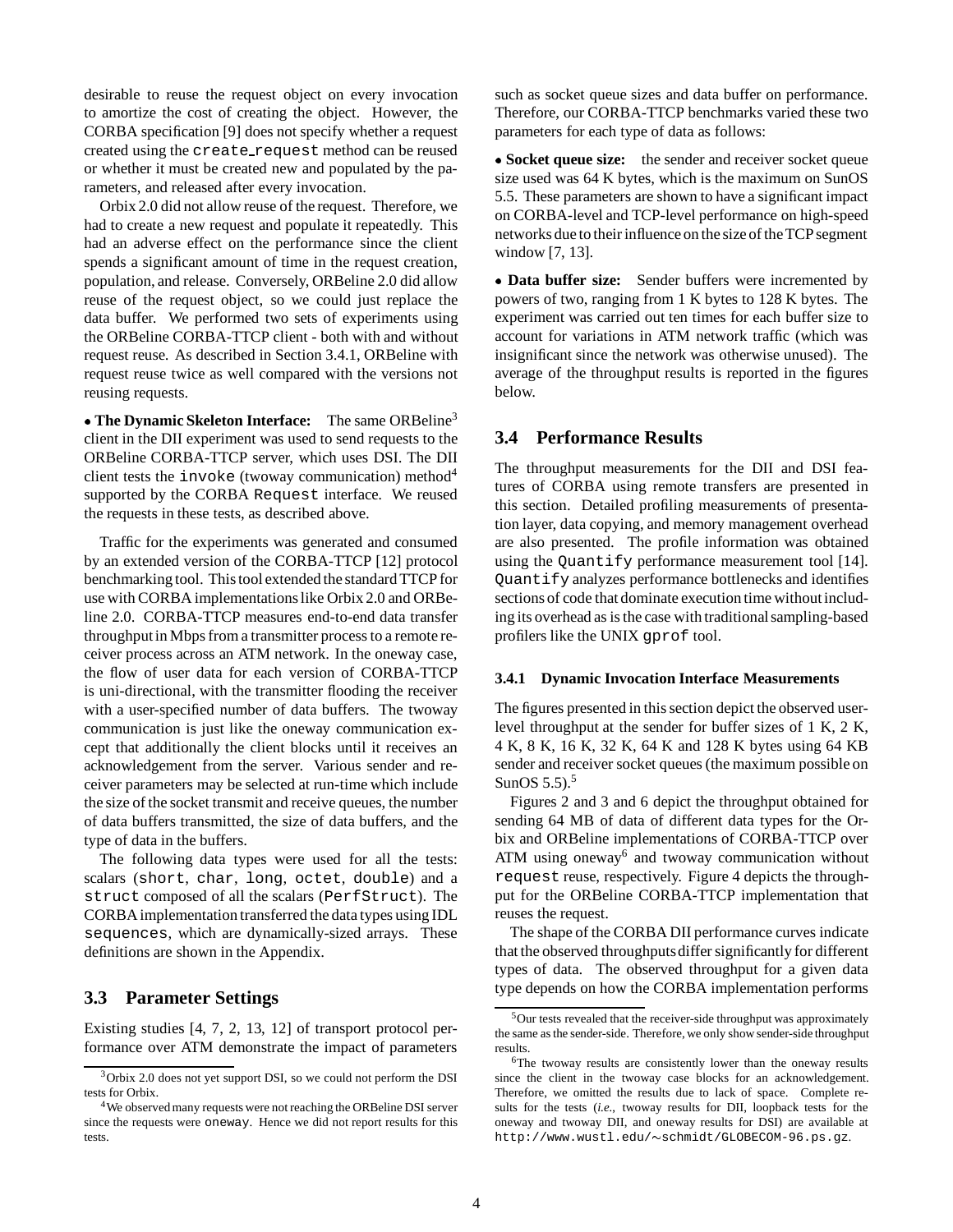desirable to reuse the request object on every invocation to amortize the cost of creating the object. However, the CORBA specification [9] does not specify whether a request created using the create request method can be reused or whether it must be created new and populated by the parameters, and released after every invocation.

Orbix 2.0 did not allow reuse of the request. Therefore, we had to create a new request and populate it repeatedly. This had an adverse effect on the performance since the client spends a significant amount of time in the request creation, population, and release. Conversely, ORBeline 2.0 did allow reuse of the request object, so we could just replace the data buffer. We performed two sets of experiments using the ORBeline CORBA-TTCP client - both with and without request reuse. As described in Section 3.4.1, ORBeline with request reuse twice as well compared with the versions not reusing requests.

 **The Dynamic Skeleton Interface:** The same ORBeline3 client in the DII experiment was used to send requests to the ORBeline CORBA-TTCP server, which uses DSI. The DII client tests the invoke (twoway communication) method<sup>4</sup> supported by the CORBA Request interface. We reused the requests in these tests, as described above.

Traffic for the experiments was generated and consumed by an extended version of the CORBA-TTCP [12] protocol benchmarking tool. This tool extended the standard TTCP for use with CORBA implementations like Orbix 2.0 and ORBeline 2.0. CORBA-TTCP measures end-to-end data transfer throughput in Mbps from a transmitter process to a remote receiver process across an ATM network. In the oneway case, the flow of user data for each version of CORBA-TTCP is uni-directional, with the transmitter flooding the receiver with a user-specified number of data buffers. The twoway communication is just like the oneway communication except that additionally the client blocks until it receives an acknowledgement from the server. Various sender and receiver parameters may be selected at run-time which include the size of the socket transmit and receive queues, the number of data buffers transmitted, the size of data buffers, and the type of data in the buffers.

The following data types were used for all the tests: scalars (short, char, long, octet, double) and a struct composed of all the scalars (PerfStruct). The CORBA implementation transferred the data types using IDL sequences, which are dynamically-sized arrays. These definitions are shown in the Appendix.

### **3.3 Parameter Settings**

Existing studies [4, 7, 2, 13, 12] of transport protocol performance over ATM demonstrate the impact of parameters such as socket queue sizes and data buffer on performance. Therefore, our CORBA-TTCP benchmarks varied these two parameters for each type of data as follows:

 **Socket queue size:** the sender and receiver socket queue size used was 64 K bytes, which is the maximum on SunOS 5.5. These parameters are shown to have a significant impact on CORBA-level and TCP-level performance on high-speed networks due to their influence on the size of the TCP segment window [7, 13].

 **Data buffer size:** Sender buffers were incremented by powers of two, ranging from 1 K bytes to 128 K bytes. The experiment was carried out ten times for each buffer size to account for variations in ATM network traffic (which was insignificant since the network was otherwise unused). The average of the throughput results is reported in the figures below.

### **3.4 Performance Results**

The throughput measurements for the DII and DSI features of CORBA using remote transfers are presented in this section. Detailed profiling measurements of presentation layer, data copying, and memory management overhead are also presented. The profile information was obtained using the Quantify performance measurement tool [14]. Quantify analyzes performance bottlenecks and identifies sections of code that dominate execution time without including its overhead as is the case with traditional sampling-based profilers like the UNIX gprof tool.

#### **3.4.1 Dynamic Invocation Interface Measurements**

The figures presented in this section depict the observed userlevel throughput at the sender for buffer sizes of 1 K, 2 K, 4 K, 8 K, 16 K, 32 K, 64 K and 128 K bytes using 64 KB sender and receiver socket queues (the maximum possible on SunOS  $5.5$ ).<sup>5</sup>

Figures 2 and 3 and 6 depict the throughput obtained for sending 64 MB of data of different data types for the Orbix and ORBeline implementations of CORBA-TTCP over  $ATM$  using oneway<sup>6</sup> and twoway communication without request reuse, respectively. Figure 4 depicts the throughput for the ORBeline CORBA-TTCP implementation that reuses the request.

The shape of the CORBA DII performance curves indicate that the observed throughputsdiffer significantly for different types of data. The observed throughput for a given data type depends on how the CORBA implementation performs

 $3$ Orbix 2.0 does not yet support DSI, so we could not perform the DSI tests for Orbix.

<sup>4</sup>We observed many requests were not reaching the ORBeline DSI server since the requests were oneway. Hence we did not report results for this tests.

<sup>&</sup>lt;sup>5</sup>Our tests revealed that the receiver-side throughput was approximately the same as the sender-side. Therefore, we only show sender-side throughput results.

<sup>&</sup>lt;sup>6</sup>The twoway results are consistently lower than the oneway results since the client in the twoway case blocks for an acknowledgement. Therefore, we omitted the results due to lack of space. Complete results for the tests (*i.e.*, twoway results for DII, loopback tests for the oneway and twoway DII, and oneway results for DSI) are available at http://www.wustl.edu/~schmidt/GLOBECOM-96.ps.gz.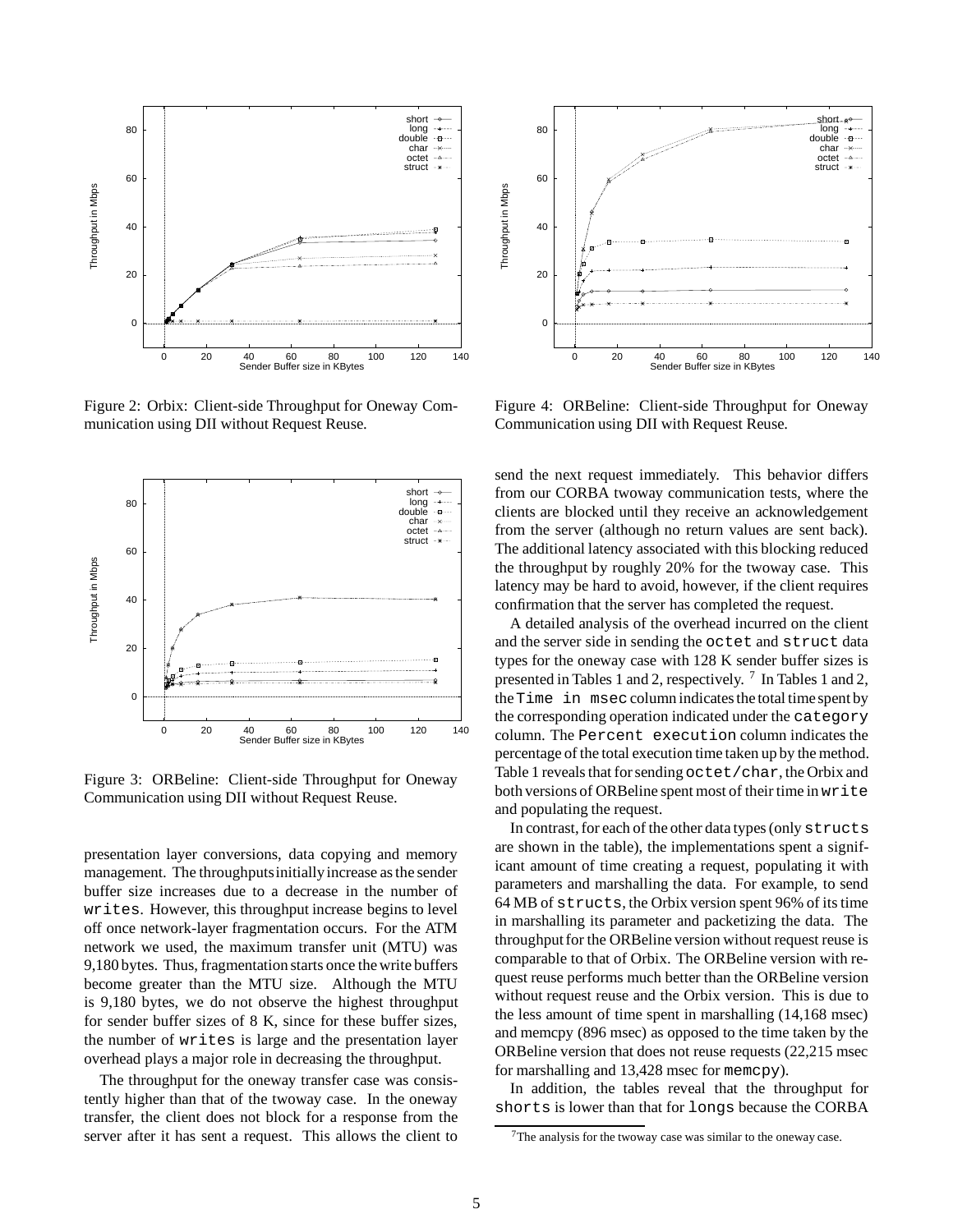

Figure 2: Orbix: Client-side Throughput for Oneway Communication using DII without Request Reuse.



Figure 3: ORBeline: Client-side Throughput for Oneway Communication using DII without Request Reuse.

presentation layer conversions, data copying and memory management. The throughputsinitiallyincrease as the sender buffer size increases due to a decrease in the number of writes. However, this throughput increase begins to level off once network-layer fragmentation occurs. For the ATM network we used, the maximum transfer unit (MTU) was 9,180 bytes. Thus, fragmentation starts once the write buffers become greater than the MTU size. Although the MTU is 9,180 bytes, we do not observe the highest throughput for sender buffer sizes of 8 K, since for these buffer sizes, the number of writes is large and the presentation layer overhead plays a major role in decreasing the throughput.

The throughput for the oneway transfer case was consistently higher than that of the twoway case. In the oneway transfer, the client does not block for a response from the server after it has sent a request. This allows the client to



Figure 4: ORBeline: Client-side Throughput for Oneway Communication using DII with Request Reuse.

send the next request immediately. This behavior differs from our CORBA twoway communication tests, where the clients are blocked until they receive an acknowledgement from the server (although no return values are sent back). The additional latency associated with this blocking reduced the throughput by roughly 20% for the twoway case. This latency may be hard to avoid, however, if the client requires confirmation that the server has completed the request.

A detailed analysis of the overhead incurred on the client and the server side in sending the octet and struct data types for the oneway case with 128 K sender buffer sizes is presented in Tables 1 and 2, respectively. <sup>7</sup> In Tables 1 and 2, theTime in mseccolumn indicates the total time spent by the corresponding operation indicated under the category column. The Percent execution column indicates the percentage of the total execution time taken up by the method. Table 1 reveals that for sending octet/char, the Orbix and both versions of ORBeline spent most of their time in write and populating the request.

In contrast, for each of the other data types (only structs are shown in the table), the implementations spent a significant amount of time creating a request, populating it with parameters and marshalling the data. For example, to send 64 MB of structs, the Orbix version spent 96% of its time in marshalling its parameter and packetizing the data. The throughput for the ORBeline version without request reuse is comparable to that of Orbix. The ORBeline version with request reuse performs much better than the ORBeline version without request reuse and the Orbix version. This is due to the less amount of time spent in marshalling (14,168 msec) and memcpy (896 msec) as opposed to the time taken by the ORBeline version that does not reuse requests (22,215 msec for marshalling and 13,428 msec for memcpy).

In addition, the tables reveal that the throughput for shorts is lower than that for longs because the CORBA

 $7$ The analysis for the twoway case was similar to the oneway case.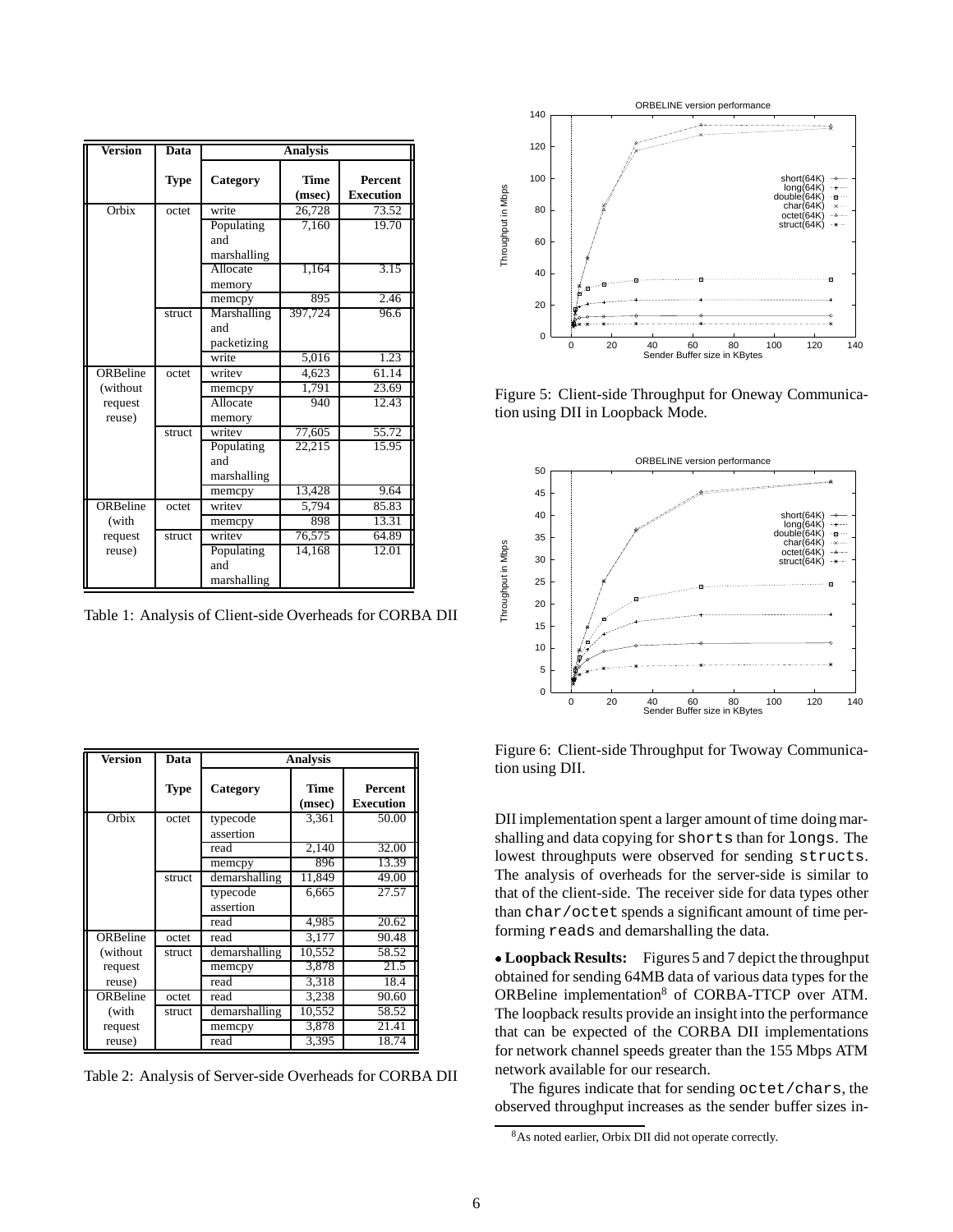| Version           | Data        | <b>Analysis</b>                   |                       |                                    |
|-------------------|-------------|-----------------------------------|-----------------------|------------------------------------|
|                   | <b>Type</b> | Category                          | <b>Time</b><br>(msec) | <b>Percent</b><br><b>Execution</b> |
| Orbix             | octet       | write                             | 26,728                | 73.52                              |
|                   |             | Populating<br>and<br>marshalling  | 7,160                 | 19.70                              |
|                   |             | Allocate<br>memory                | 1.164                 | 3.15                               |
|                   |             | memcpy                            | 895                   | 2.46                               |
|                   | struct      | Marshalling<br>and<br>packetizing | 397,724               | 96.6                               |
|                   |             | write                             | 5,016                 | 1.23                               |
| <b>ORBeline</b>   | octet       | writev                            | 4,623                 | 61.14                              |
| (without          |             | memcpy                            | 1,791                 | 23.69                              |
| request<br>reuse) |             | Allocate<br>memory                | 940                   | 12.43                              |
|                   | struct      | writev                            | 77,605                | 55.72                              |
|                   |             | Populating<br>and<br>marshalling  | 22.215                | 15.95                              |
|                   |             | memcpy                            | 13.428                | 9.64                               |
| <b>ORBeline</b>   | octet       | writev                            | 5,794                 | 85.83                              |
| (with             |             | memcpy                            | 898                   | 13.31                              |
| request           | struct      | writev                            | 76,575                | 64.89                              |
| reuse)            |             | Populating<br>and<br>marshalling  | 14,168                | 12.01                              |

Table 1: Analysis of Client-side Overheads for CORBA DII

| Version         | Data   | <b>Analysis</b> |                       |                                    |
|-----------------|--------|-----------------|-----------------------|------------------------------------|
|                 | Type   | Category        | <b>Time</b><br>(msec) | <b>Percent</b><br><b>Execution</b> |
| Orbix           | octet  | typecode        | 3,361                 | 50.00                              |
|                 |        | assertion       |                       |                                    |
|                 |        | read            | 2,140                 | 32.00                              |
|                 |        | memcpy          | 896                   | 13.39                              |
|                 | struct | demarshalling   | 11,849                | 49.00                              |
|                 |        | typecode        | 6,665                 | 27.57                              |
|                 |        | assertion       |                       |                                    |
|                 |        | read            | 4,985                 | 20.62                              |
| <b>ORBeline</b> | octet  | read            | 3,177                 | 90.48                              |
| (without        | struct | demarshalling   | 10,552                | 58.52                              |
| request         |        | memcpy          | 3,878                 | 21.5                               |
| reuse)          |        | read            | 3,318                 | 18.4                               |
| ORBeline        | octet  | read            | 3,238                 | 90.60                              |
| (with           | struct | demarshalling   | 10,552                | 58.52                              |
| request         |        | memcpy          | 3,878                 | 21.41                              |
| reuse)          |        | read            | 3,395                 | 18.74                              |

Table 2: Analysis of Server-side Overheads for CORBA DII



Figure 5: Client-side Throughput for Oneway Communication using DII in Loopback Mode.



Figure 6: Client-side Throughput for Twoway Communication using DII.

DII implementation spent a larger amount of time doing marshalling and data copying for shorts than for longs. The lowest throughputs were observed for sending structs. The analysis of overheads for the server-side is similar to that of the client-side. The receiver side for data types other than char/octet spends a significant amount of time performing reads and demarshalling the data.

 **Loopback Results:** Figures 5 and 7 depict the throughput obtained for sending 64MB data of various data types for the ORBeline implementation<sup>8</sup> of CORBA-TTCP over ATM. The loopback results provide an insight into the performance that can be expected of the CORBA DII implementations for network channel speeds greater than the 155 Mbps ATM network available for our research.

The figures indicate that for sending octet/chars, the observed throughput increases as the sender buffer sizes in-

<sup>8</sup>As noted earlier, Orbix DII did not operate correctly.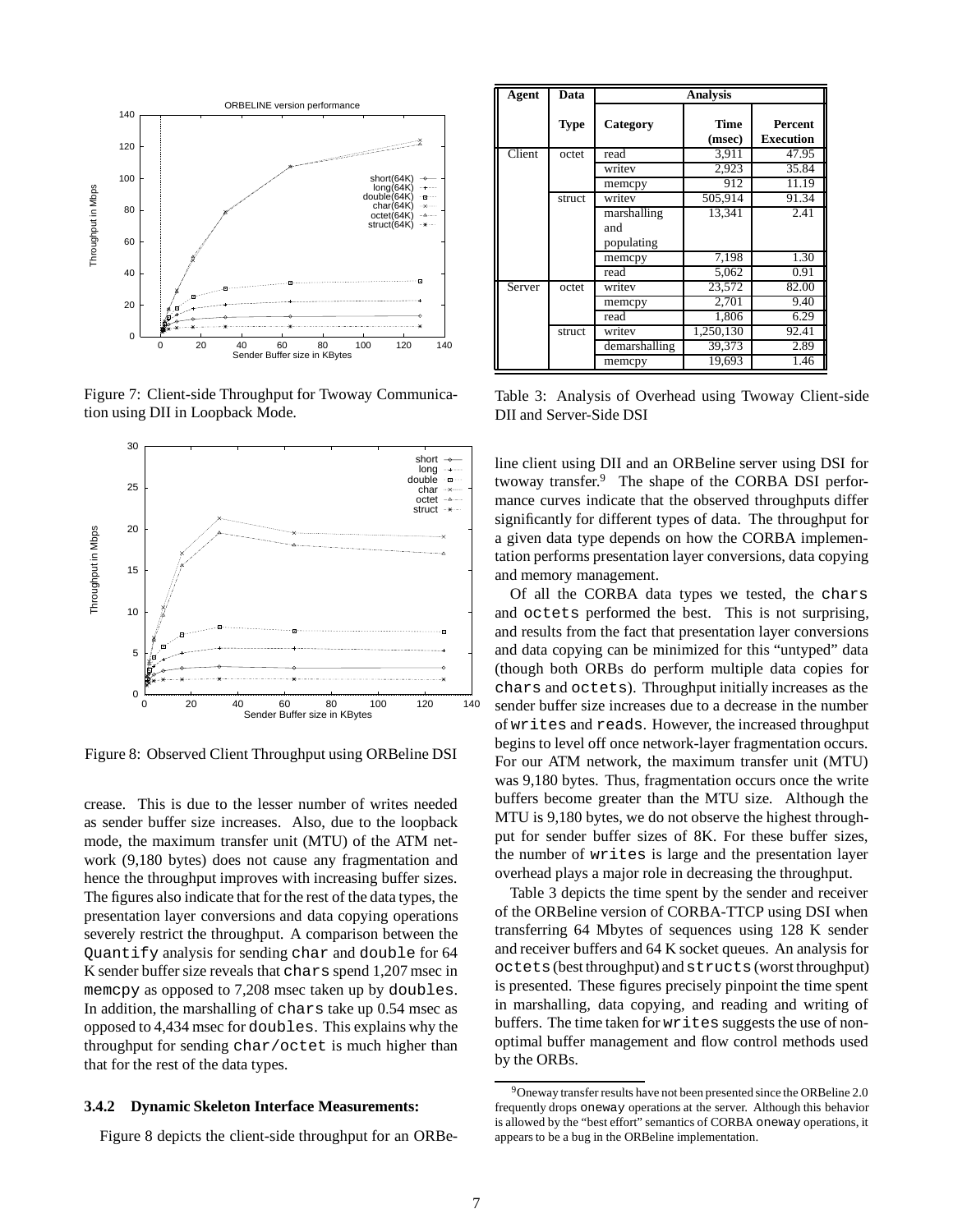

Figure 7: Client-side Throughput for Twoway Communication using DII in Loopback Mode.



Figure 8: Observed Client Throughput using ORBeline DSI

crease. This is due to the lesser number of writes needed as sender buffer size increases. Also, due to the loopback mode, the maximum transfer unit (MTU) of the ATM network (9,180 bytes) does not cause any fragmentation and hence the throughput improves with increasing buffer sizes. The figures also indicate that for the rest of the data types, the presentation layer conversions and data copying operations severely restrict the throughput. A comparison between the Quantify analysis for sending char and double for 64 K sender buffer size reveals that chars spend 1,207 msec in memcpy as opposed to 7,208 msec taken up by doubles. In addition, the marshalling of chars take up 0.54 msec as opposed to 4,434 msec for doubles. This explains why the throughput for sending char/octet is much higher than that for the rest of the data types.

#### **3.4.2 Dynamic Skeleton Interface Measurements:**

Figure 8 depicts the client-side throughput for an ORBe-

| Agent  | Data        | <b>Analysis</b> |                       |                                    |
|--------|-------------|-----------------|-----------------------|------------------------------------|
|        | <b>Type</b> | Category        | <b>Time</b><br>(msec) | <b>Percent</b><br><b>Execution</b> |
| Client | octet       | read            | 3,911                 | 47.95                              |
|        |             | writev          | 2,923                 | 35.84                              |
|        |             | memcpy          | 912                   | 11.19                              |
|        | struct      | writev          | 505,914               | 91.34                              |
|        |             | marshalling     | 13.341                | 2.41                               |
|        |             | and             |                       |                                    |
|        |             | populating      |                       |                                    |
|        |             | memcpy          | 7,198                 | 1.30                               |
|        |             | read            | 5,062                 | 0.91                               |
| Server | octet       | writev          | 23,572                | 82.00                              |
|        |             | memcpy          | 2,701                 | 9.40                               |
|        |             | read            | 1,806                 | 6.29                               |
|        | struct      | writev          | 1,250,130             | 92.41                              |
|        |             | demarshalling   | 39,373                | 2.89                               |
|        |             | memcpy          | 19,693                | 1.46                               |

Table 3: Analysis of Overhead using Twoway Client-side DII and Server-Side DSI

line client using DII and an ORBeline server using DSI for twoway transfer.<sup>9</sup> The shape of the CORBA DSI performance curves indicate that the observed throughputs differ significantly for different types of data. The throughput for a given data type depends on how the CORBA implementation performs presentation layer conversions, data copying and memory management.

Of all the CORBA data types we tested, the chars and octets performed the best. This is not surprising, and results from the fact that presentation layer conversions and data copying can be minimized for this "untyped" data (though both ORBs do perform multiple data copies for chars and octets). Throughput initially increases as the sender buffer size increases due to a decrease in the number of writes and reads. However, the increased throughput begins to level off once network-layer fragmentation occurs. For our ATM network, the maximum transfer unit (MTU) was 9,180 bytes. Thus, fragmentation occurs once the write buffers become greater than the MTU size. Although the MTU is 9,180 bytes, we do not observe the highest throughput for sender buffer sizes of 8K. For these buffer sizes, the number of writes is large and the presentation layer overhead plays a major role in decreasing the throughput.

Table 3 depicts the time spent by the sender and receiver of the ORBeline version of CORBA-TTCP using DSI when transferring 64 Mbytes of sequences using 128 K sender and receiver buffers and 64 K socket queues. An analysis for octets(best throughput) andstructs(worst throughput) is presented. These figures precisely pinpoint the time spent in marshalling, data copying, and reading and writing of buffers. The time taken for writes suggests the use of nonoptimal buffer management and flow control methods used by the ORBs.

<sup>&</sup>lt;sup>9</sup>Oneway transfer results have not been presented since the ORBeline 2.0 frequently drops oneway operations at the server. Although this behavior is allowed by the "best effort" semantics of CORBA oneway operations, it appears to be a bug in the ORBeline implementation.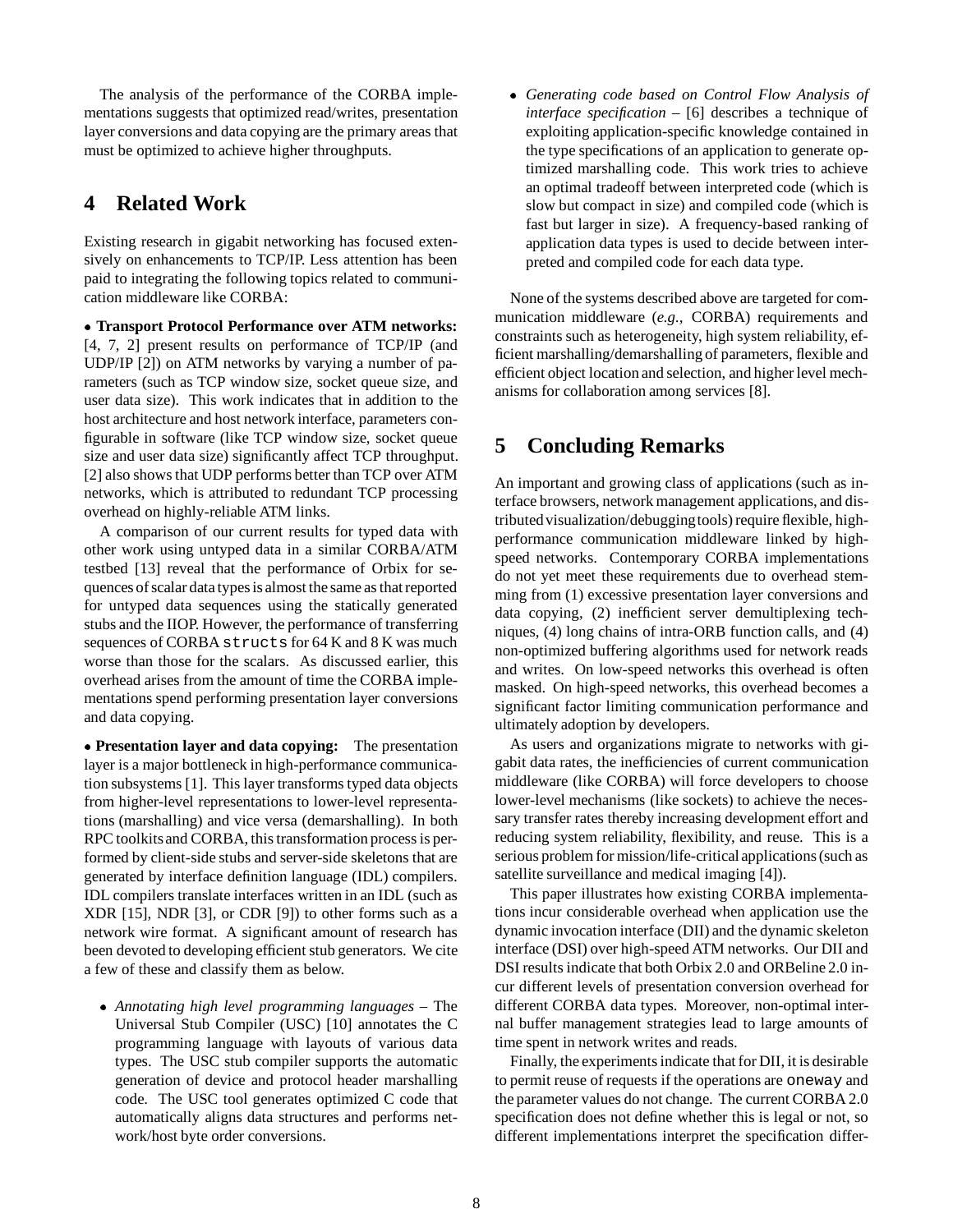The analysis of the performance of the CORBA implementations suggests that optimized read/writes, presentation layer conversions and data copying are the primary areas that must be optimized to achieve higher throughputs.

## **4 Related Work**

Existing research in gigabit networking has focused extensively on enhancements to TCP/IP. Less attention has been paid to integrating the following topics related to communication middleware like CORBA:

 **Transport Protocol Performance over ATM networks:** [4, 7, 2] present results on performance of TCP/IP (and UDP/IP [2]) on ATM networks by varying a number of parameters (such as TCP window size, socket queue size, and user data size). This work indicates that in addition to the host architecture and host network interface, parameters configurable in software (like TCP window size, socket queue size and user data size) significantly affect TCP throughput. [2] also shows that UDP performs better than TCP over ATM networks, which is attributed to redundant TCP processing overhead on highly-reliable ATM links.

A comparison of our current results for typed data with other work using untyped data in a similar CORBA/ATM testbed [13] reveal that the performance of Orbix for sequences of scalar data types is almost the same as that reported for untyped data sequences using the statically generated stubs and the IIOP. However, the performance of transferring sequences of CORBA structs for 64 K and 8 K was much worse than those for the scalars. As discussed earlier, this overhead arises from the amount of time the CORBA implementations spend performing presentation layer conversions and data copying.

 **Presentation layer and data copying:** The presentation layer is a major bottleneck in high-performance communication subsystems [1]. This layer transforms typed data objects from higher-level representations to lower-level representations (marshalling) and vice versa (demarshalling). In both RPC toolkitsand CORBA, this transformation process is performed by client-side stubs and server-side skeletons that are generated by interface definition language (IDL) compilers. IDL compilers translate interfaces written in an IDL (such as XDR [15], NDR [3], or CDR [9]) to other forms such as a network wire format. A significant amount of research has been devoted to developing efficient stub generators. We cite a few of these and classify them as below.

 *Annotating high level programming languages* – The Universal Stub Compiler (USC) [10] annotates the C programming language with layouts of various data types. The USC stub compiler supports the automatic generation of device and protocol header marshalling code. The USC tool generates optimized C code that automatically aligns data structures and performs network/host byte order conversions.

 *Generating code based on Control Flow Analysis of interface specification* – [6] describes a technique of exploiting application-specific knowledge contained in the type specifications of an application to generate optimized marshalling code. This work tries to achieve an optimal tradeoff between interpreted code (which is slow but compact in size) and compiled code (which is fast but larger in size). A frequency-based ranking of application data types is used to decide between interpreted and compiled code for each data type.

None of the systems described above are targeted for communication middleware (*e.g.,* CORBA) requirements and constraints such as heterogeneity, high system reliability, efficient marshalling/demarshalling of parameters, flexible and efficient object location and selection, and higher level mechanisms for collaboration among services [8].

## **5 Concluding Remarks**

An important and growing class of applications (such as interface browsers, network management applications, and distributed visualization/debugging tools) require flexible, highperformance communication middleware linked by highspeed networks. Contemporary CORBA implementations do not yet meet these requirements due to overhead stemming from (1) excessive presentation layer conversions and data copying, (2) inefficient server demultiplexing techniques, (4) long chains of intra-ORB function calls, and (4) non-optimized buffering algorithms used for network reads and writes. On low-speed networks this overhead is often masked. On high-speed networks, this overhead becomes a significant factor limiting communication performance and ultimately adoption by developers.

As users and organizations migrate to networks with gigabit data rates, the inefficiencies of current communication middleware (like CORBA) will force developers to choose lower-level mechanisms (like sockets) to achieve the necessary transfer rates thereby increasing development effort and reducing system reliability, flexibility, and reuse. This is a serious problem for mission/life-critical applications (such as satellite surveillance and medical imaging [4]).

This paper illustrates how existing CORBA implementations incur considerable overhead when application use the dynamic invocation interface (DII) and the dynamic skeleton interface (DSI) over high-speed ATM networks. Our DII and DSI results indicate that both Orbix 2.0 and ORBeline 2.0 incur different levels of presentation conversion overhead for different CORBA data types. Moreover, non-optimal internal buffer management strategies lead to large amounts of time spent in network writes and reads.

Finally, the experiments indicate that for DII, it is desirable to permit reuse of requests if the operations are oneway and the parameter values do not change. The current CORBA 2.0 specification does not define whether this is legal or not, so different implementations interpret the specification differ